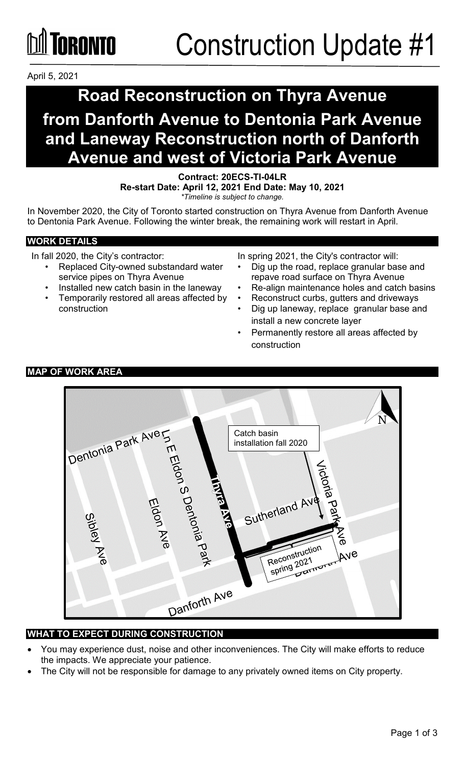### **TORONTO**

April 5, 2021

### **Road Reconstruction on Thyra Avenue**

### **from Danforth Avenue to Dentonia Park Avenue and Laneway Reconstruction north of Danforth Avenue and west of Victoria Park Avenue**

**Contract: 20ECS-TI-04LR**

**Re-start Date: April 12, 2021 End Date: May 10, 2021** *\*Timeline is subject to change.*

In November 2020, the City of Toronto started construction on Thyra Avenue from Danforth Avenue to Dentonia Park Avenue. Following the winter break, the remaining work will restart in April.

#### **WORK DETAILS**

In fall 2020, the City's contractor:

- Replaced City-owned substandard water service pipes on Thyra Avenue
- Installed new catch basin in the laneway
- Temporarily restored all areas affected by construction
- In spring 2021, the City's contractor will:
- Dig up the road, replace granular base and repave road surface on Thyra Avenue
- Re-align maintenance holes and catch basins
- Reconstruct curbs, gutters and driveways
- Dig up laneway, replace granular base and install a new concrete layer
- Permanently restore all areas affected by construction

### Dentonia Park Aver Catch basin INTERIOR S Dentonia Park installation fall 2020Sutherland At Reconstruction Ave Reconstruction Darr Danforth Ave

#### **WHAT TO EXPECT DURING CONSTRUCTION**

- You may experience dust, noise and other inconveniences. The City will make efforts to reduce the impacts. We appreciate your patience.
- The City will not be responsible for damage to any privately owned items on City property.

#### **MAP OF WORK AREA**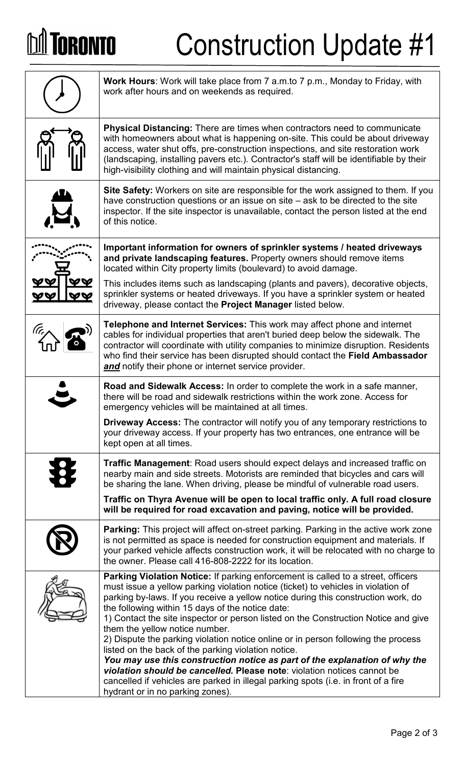## **DA TORONTO**

# Construction Update #1

| <b>Work Hours:</b> Work will take place from 7 a.m.to 7 p.m., Monday to Friday, with<br>work after hours and on weekends as required.                                                                                                                                                                                                                                                                                                                                                                                                                                                                                                                                                                                                                                                                                             |  |
|-----------------------------------------------------------------------------------------------------------------------------------------------------------------------------------------------------------------------------------------------------------------------------------------------------------------------------------------------------------------------------------------------------------------------------------------------------------------------------------------------------------------------------------------------------------------------------------------------------------------------------------------------------------------------------------------------------------------------------------------------------------------------------------------------------------------------------------|--|
| <b>Physical Distancing:</b> There are times when contractors need to communicate<br>with homeowners about what is happening on-site. This could be about driveway<br>access, water shut offs, pre-construction inspections, and site restoration work<br>(landscaping, installing pavers etc.). Contractor's staff will be identifiable by their<br>high-visibility clothing and will maintain physical distancing.                                                                                                                                                                                                                                                                                                                                                                                                               |  |
| <b>Site Safety:</b> Workers on site are responsible for the work assigned to them. If you<br>have construction questions or an issue on site – ask to be directed to the site<br>inspector. If the site inspector is unavailable, contact the person listed at the end<br>of this notice.                                                                                                                                                                                                                                                                                                                                                                                                                                                                                                                                         |  |
| Important information for owners of sprinkler systems / heated driveways<br>and private landscaping features. Property owners should remove items<br>located within City property limits (boulevard) to avoid damage.                                                                                                                                                                                                                                                                                                                                                                                                                                                                                                                                                                                                             |  |
| This includes items such as landscaping (plants and pavers), decorative objects,<br>sprinkler systems or heated driveways. If you have a sprinkler system or heated<br>driveway, please contact the Project Manager listed below.                                                                                                                                                                                                                                                                                                                                                                                                                                                                                                                                                                                                 |  |
| <b>Telephone and Internet Services:</b> This work may affect phone and internet<br>cables for individual properties that aren't buried deep below the sidewalk. The<br>contractor will coordinate with utility companies to minimize disruption. Residents<br>who find their service has been disrupted should contact the Field Ambassador<br>and notify their phone or internet service provider.                                                                                                                                                                                                                                                                                                                                                                                                                               |  |
| <b>Road and Sidewalk Access:</b> In order to complete the work in a safe manner,<br>there will be road and sidewalk restrictions within the work zone. Access for<br>emergency vehicles will be maintained at all times.                                                                                                                                                                                                                                                                                                                                                                                                                                                                                                                                                                                                          |  |
| <b>Driveway Access:</b> The contractor will notify you of any temporary restrictions to<br>your driveway access. If your property has two entrances, one entrance will be<br>kept open at all times.                                                                                                                                                                                                                                                                                                                                                                                                                                                                                                                                                                                                                              |  |
| <b>Traffic Management:</b> Road users should expect delays and increased traffic on<br>nearby main and side streets. Motorists are reminded that bicycles and cars will<br>be sharing the lane. When driving, please be mindful of vulnerable road users.                                                                                                                                                                                                                                                                                                                                                                                                                                                                                                                                                                         |  |
| Traffic on Thyra Avenue will be open to local traffic only. A full road closure<br>will be required for road excavation and paving, notice will be provided.                                                                                                                                                                                                                                                                                                                                                                                                                                                                                                                                                                                                                                                                      |  |
| Parking: This project will affect on-street parking. Parking in the active work zone<br>is not permitted as space is needed for construction equipment and materials. If<br>your parked vehicle affects construction work, it will be relocated with no charge to<br>the owner. Please call 416-808-2222 for its location.                                                                                                                                                                                                                                                                                                                                                                                                                                                                                                        |  |
| Parking Violation Notice: If parking enforcement is called to a street, officers<br>must issue a yellow parking violation notice (ticket) to vehicles in violation of<br>parking by-laws. If you receive a yellow notice during this construction work, do<br>the following within 15 days of the notice date:<br>1) Contact the site inspector or person listed on the Construction Notice and give<br>them the yellow notice number.<br>2) Dispute the parking violation notice online or in person following the process<br>listed on the back of the parking violation notice.<br>You may use this construction notice as part of the explanation of why the<br>violation should be cancelled. Please note: violation notices cannot be<br>cancelled if vehicles are parked in illegal parking spots (i.e. in front of a fire |  |
| hydrant or in no parking zones).                                                                                                                                                                                                                                                                                                                                                                                                                                                                                                                                                                                                                                                                                                                                                                                                  |  |